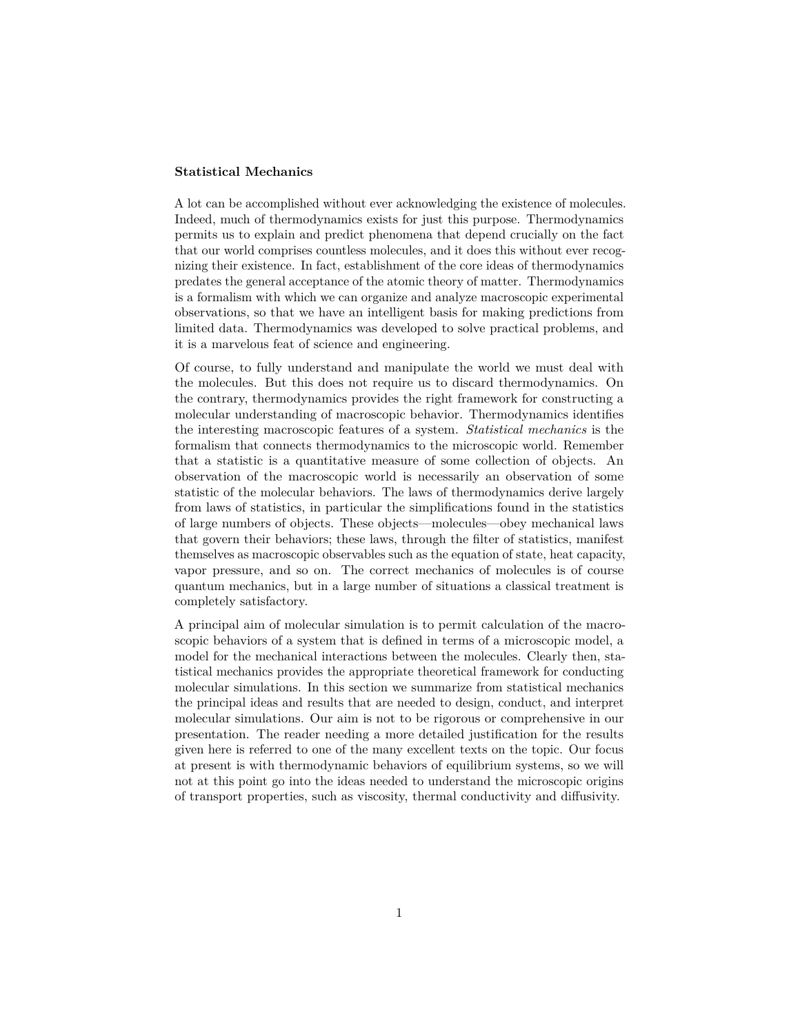# **Statistical Mechanics**

A lot can be accomplished without ever acknowledging the existence of molecules. Indeed, much of thermodynamics exists for just this purpose. Thermodynamics permits us to explain and predict phenomena that depend crucially on the fact that our world comprises countless molecules, and it does this without ever recognizing their existence. In fact, establishment of the core ideas of thermodynamics predates the general acceptance of the atomic theory of matter. Thermodynamics is a formalism with which we can organize and analyze macroscopic experimental observations, so that we have an intelligent basis for making predictions from limited data. Thermodynamics was developed to solve practical problems, and it is a marvelous feat of science and engineering.

Of course, to fully understand and manipulate the world we must deal with the molecules. But this does not require us to discard thermodynamics. On the contrary, thermodynamics provides the right framework for constructing a molecular understanding of macroscopic behavior. Thermodynamics identifies the interesting macroscopic features of a system. *Statistical mechanics* is the formalism that connects thermodynamics to the microscopic world. Remember that a statistic is a quantitative measure of some collection of objects. An observation of the macroscopic world is necessarily an observation of some statistic of the molecular behaviors. The laws of thermodynamics derive largely from laws of statistics, in particular the simplifications found in the statistics of large numbers of objects. These objects—molecules—obey mechanical laws that govern their behaviors; these laws, through the filter of statistics, manifest themselves as macroscopic observables such as the equation of state, heat capacity, vapor pressure, and so on. The correct mechanics of molecules is of course quantum mechanics, but in a large number of situations a classical treatment is completely satisfactory.

A principal aim of molecular simulation is to permit calculation of the macroscopic behaviors of a system that is defined in terms of a microscopic model, a model for the mechanical interactions between the molecules. Clearly then, statistical mechanics provides the appropriate theoretical framework for conducting molecular simulations. In this section we summarize from statistical mechanics the principal ideas and results that are needed to design, conduct, and interpret molecular simulations. Our aim is not to be rigorous or comprehensive in our presentation. The reader needing a more detailed justification for the results given here is referred to one of the many excellent texts on the topic. Our focus at present is with thermodynamic behaviors of equilibrium systems, so we will not at this point go into the ideas needed to understand the microscopic origins of transport properties, such as viscosity, thermal conductivity and diffusivity.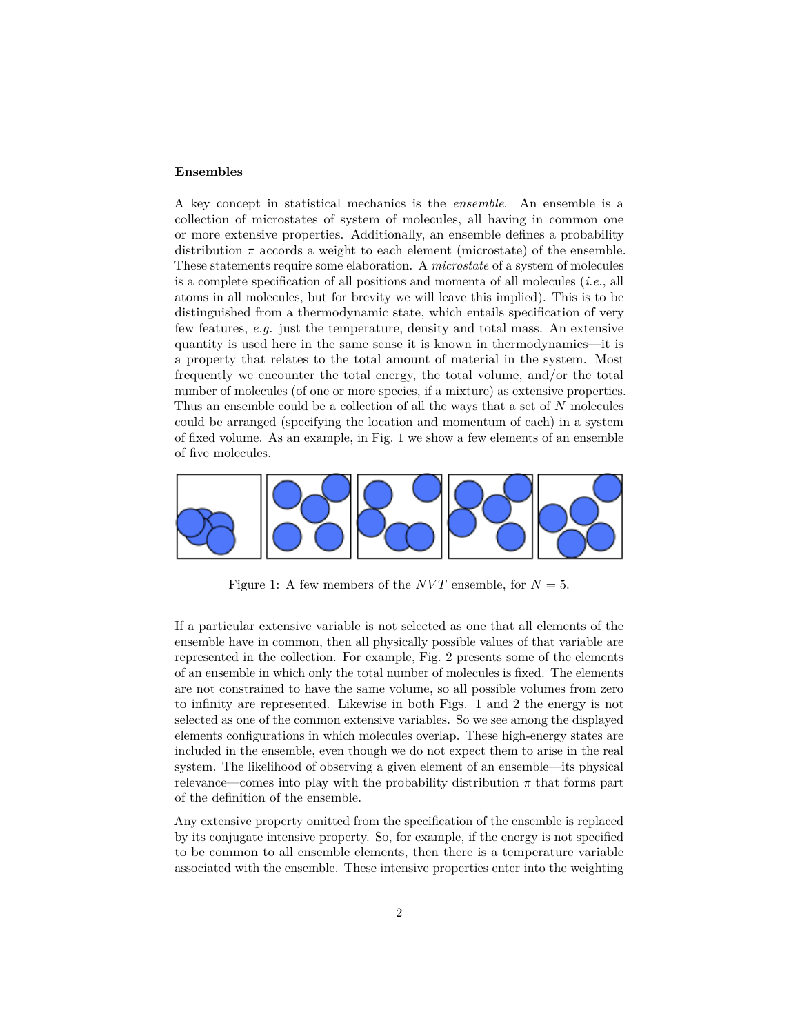#### **Ensembles**

A key concept in statistical mechanics is the *ensemble*. An ensemble is a collection of microstates of system of molecules, all having in common one or more extensive properties. Additionally, an ensemble defines a probability distribution  $\pi$  accords a weight to each element (microstate) of the ensemble. These statements require some elaboration. A *microstate* of a system of molecules is a complete specification of all positions and momenta of all molecules (*i.e.*, all atoms in all molecules, but for brevity we will leave this implied). This is to be distinguished from a thermodynamic state, which entails specification of very few features, *e.g.* just the temperature, density and total mass. An extensive quantity is used here in the same sense it is known in thermodynamics—it is a property that relates to the total amount of material in the system. Most frequently we encounter the total energy, the total volume, and/or the total number of molecules (of one or more species, if a mixture) as extensive properties. Thus an ensemble could be a collection of all the ways that a set of *N* molecules could be arranged (specifying the location and momentum of each) in a system of fixed volume. As an example, in Fig. [1](#page-1-0) we show a few elements of an ensemble of five molecules.



Figure 1: A few members of the *NVT* ensemble, for  $N = 5$ .

<span id="page-1-0"></span>If a particular extensive variable is not selected as one that all elements of the ensemble have in common, then all physically possible values of that variable are represented in the collection. For example, Fig. [2](#page-2-0) presents some of the elements of an ensemble in which only the total number of molecules is fixed. The elements are not constrained to have the same volume, so all possible volumes from zero to infinity are represented. Likewise in both Figs. [1](#page-1-0) and [2](#page-2-0) the energy is not selected as one of the common extensive variables. So we see among the displayed elements configurations in which molecules overlap. These high-energy states are included in the ensemble, even though we do not expect them to arise in the real system. The likelihood of observing a given element of an ensemble—its physical relevance—comes into play with the probability distribution  $\pi$  that forms part of the definition of the ensemble.

Any extensive property omitted from the specification of the ensemble is replaced by its conjugate intensive property. So, for example, if the energy is not specified to be common to all ensemble elements, then there is a temperature variable associated with the ensemble. These intensive properties enter into the weighting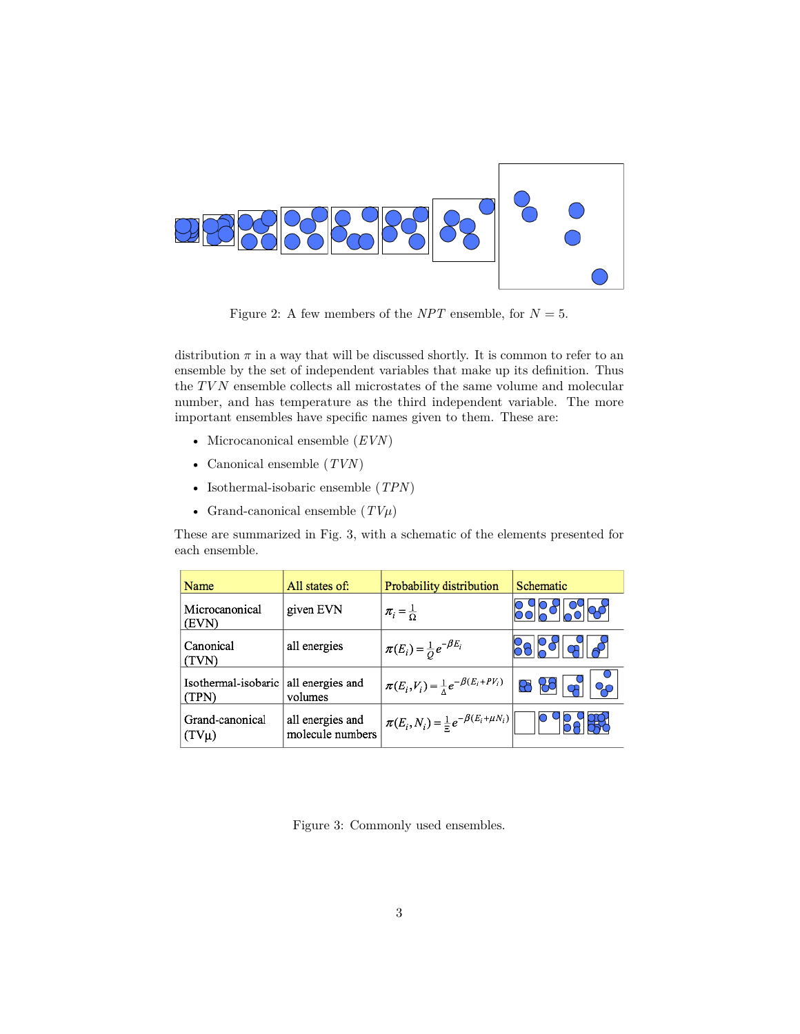

<span id="page-2-0"></span>Figure 2: A few members of the *NPT* ensemble, for  $N = 5$ .

distribution  $\pi$  in a way that will be discussed shortly. It is common to refer to an ensemble by the set of independent variables that make up its definition. Thus the  $TVN$  ensemble collects all microstates of the same volume and molecular number, and has temperature as the third independent variable. The more important ensembles have specific names given to them. These are:

- Microcanonical ensemble (*EVN*)
- Canonical ensemble (*TVN*)
- Isothermal-isobaric ensemble (*TPN*)
- Grand-canonical ensemble  $(TV\mu)$

These are summarized in Fig. [3,](#page-2-1) with a schematic of the elements presented for each ensemble.

| Name                         | All states of:                       | Probability distribution                                   | Schematic       |
|------------------------------|--------------------------------------|------------------------------------------------------------|-----------------|
| Microcanonical<br>(EVN)      | given EVN                            | $\pi_i = \frac{1}{\Omega}$                                 |                 |
| Canonical<br>(TVN)           | all energies                         | $\pi(E_i) = \frac{1}{O} e^{-\beta E_i}$                    | <u>Pollo 11</u> |
| Isothermal-isobaric<br>(TPN) | all energies and<br>volumes          | $\pi(E_i, V_i) = \frac{1}{\Lambda} e^{-\beta(E_i + PV_i)}$ | 88 88 မျာ       |
| Grand-canonical<br>$(TV\mu)$ | all energies and<br>molecule numbers | $\pi(E_i, N_i) = \frac{1}{\Xi} e^{-\beta(E_i + \mu N_i)}$  |                 |

<span id="page-2-1"></span>Figure 3: Commonly used ensembles.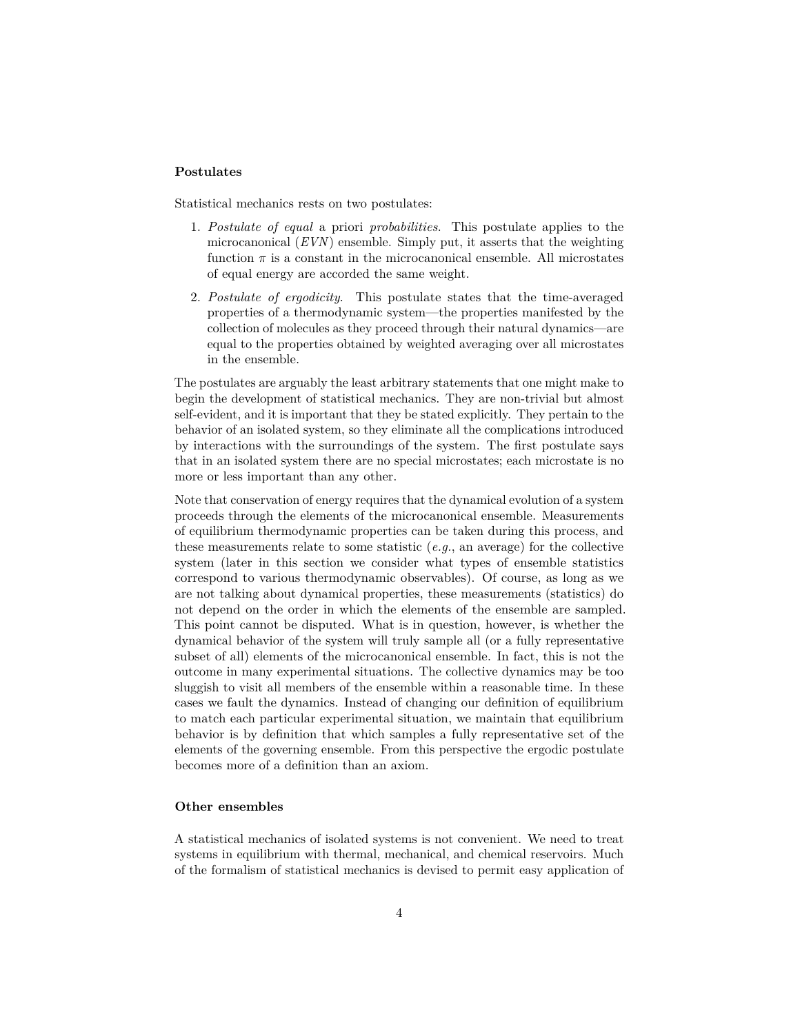# **Postulates**

Statistical mechanics rests on two postulates:

- 1. *Postulate of equal* a priori *probabilities*. This postulate applies to the microcanonical (*EVN*) ensemble. Simply put, it asserts that the weighting function  $\pi$  is a constant in the microcanonical ensemble. All microstates of equal energy are accorded the same weight.
- 2. *Postulate of ergodicity*. This postulate states that the time-averaged properties of a thermodynamic system—the properties manifested by the collection of molecules as they proceed through their natural dynamics—are equal to the properties obtained by weighted averaging over all microstates in the ensemble.

The postulates are arguably the least arbitrary statements that one might make to begin the development of statistical mechanics. They are non-trivial but almost self-evident, and it is important that they be stated explicitly. They pertain to the behavior of an isolated system, so they eliminate all the complications introduced by interactions with the surroundings of the system. The first postulate says that in an isolated system there are no special microstates; each microstate is no more or less important than any other.

Note that conservation of energy requires that the dynamical evolution of a system proceeds through the elements of the microcanonical ensemble. Measurements of equilibrium thermodynamic properties can be taken during this process, and these measurements relate to some statistic  $(e, q, \rho)$ , an average) for the collective system (later in this section we consider what types of ensemble statistics correspond to various thermodynamic observables). Of course, as long as we are not talking about dynamical properties, these measurements (statistics) do not depend on the order in which the elements of the ensemble are sampled. This point cannot be disputed. What is in question, however, is whether the dynamical behavior of the system will truly sample all (or a fully representative subset of all) elements of the microcanonical ensemble. In fact, this is not the outcome in many experimental situations. The collective dynamics may be too sluggish to visit all members of the ensemble within a reasonable time. In these cases we fault the dynamics. Instead of changing our definition of equilibrium to match each particular experimental situation, we maintain that equilibrium behavior is by definition that which samples a fully representative set of the elements of the governing ensemble. From this perspective the ergodic postulate becomes more of a definition than an axiom.

# **Other ensembles**

A statistical mechanics of isolated systems is not convenient. We need to treat systems in equilibrium with thermal, mechanical, and chemical reservoirs. Much of the formalism of statistical mechanics is devised to permit easy application of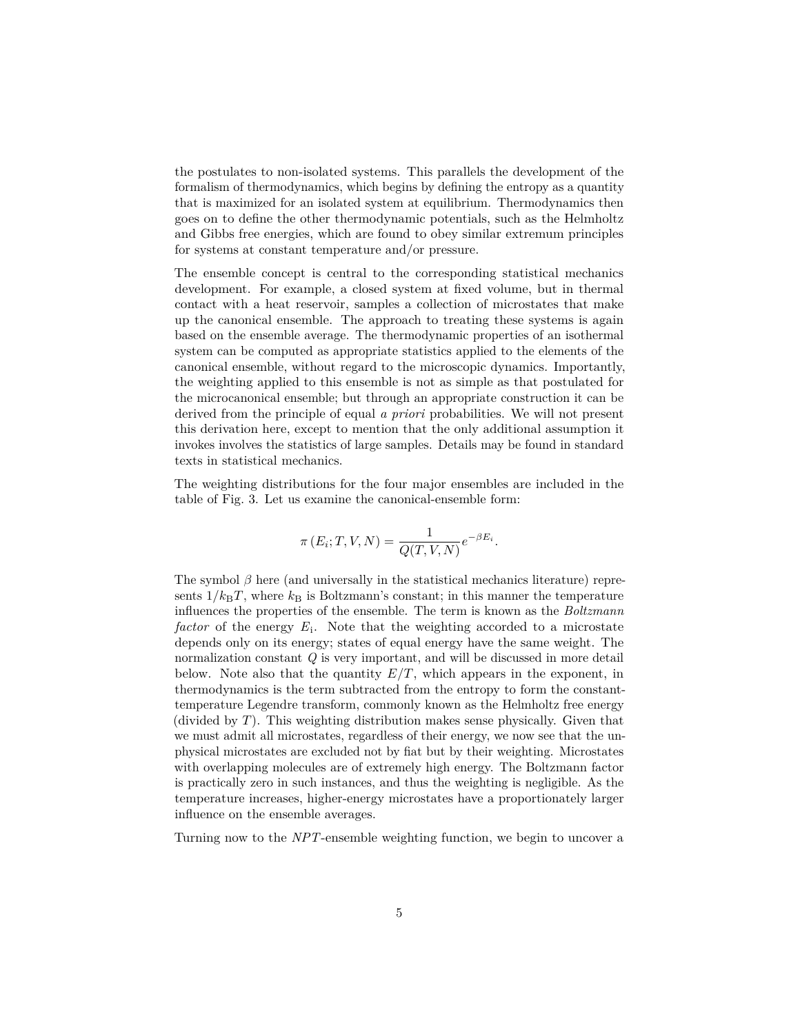the postulates to non-isolated systems. This parallels the development of the formalism of thermodynamics, which begins by defining the entropy as a quantity that is maximized for an isolated system at equilibrium. Thermodynamics then goes on to define the other thermodynamic potentials, such as the Helmholtz and Gibbs free energies, which are found to obey similar extremum principles for systems at constant temperature and/or pressure.

The ensemble concept is central to the corresponding statistical mechanics development. For example, a closed system at fixed volume, but in thermal contact with a heat reservoir, samples a collection of microstates that make up the canonical ensemble. The approach to treating these systems is again based on the ensemble average. The thermodynamic properties of an isothermal system can be computed as appropriate statistics applied to the elements of the canonical ensemble, without regard to the microscopic dynamics. Importantly, the weighting applied to this ensemble is not as simple as that postulated for the microcanonical ensemble; but through an appropriate construction it can be derived from the principle of equal *a priori* probabilities. We will not present this derivation here, except to mention that the only additional assumption it invokes involves the statistics of large samples. Details may be found in standard texts in statistical mechanics.

The weighting distributions for the four major ensembles are included in the table of Fig. [3.](#page-2-1) Let us examine the canonical-ensemble form:

$$
\pi(E_i; T, V, N) = \frac{1}{Q(T, V, N)} e^{-\beta E_i}.
$$

The symbol  $\beta$  here (and universally in the statistical mechanics literature) represents  $1/k_BT$ , where  $k_B$  is Boltzmann's constant; in this manner the temperature influences the properties of the ensemble. The term is known as the *Boltzmann* factor of the energy  $E_i$ . Note that the weighting accorded to a microstate depends only on its energy; states of equal energy have the same weight. The normalization constant *Q* is very important, and will be discussed in more detail below. Note also that the quantity  $E/T$ , which appears in the exponent, in thermodynamics is the term subtracted from the entropy to form the constanttemperature Legendre transform, commonly known as the Helmholtz free energy (divided by *T*). This weighting distribution makes sense physically. Given that we must admit all microstates, regardless of their energy, we now see that the unphysical microstates are excluded not by fiat but by their weighting. Microstates with overlapping molecules are of extremely high energy. The Boltzmann factor is practically zero in such instances, and thus the weighting is negligible. As the temperature increases, higher-energy microstates have a proportionately larger influence on the ensemble averages.

Turning now to the *NPT*-ensemble weighting function, we begin to uncover a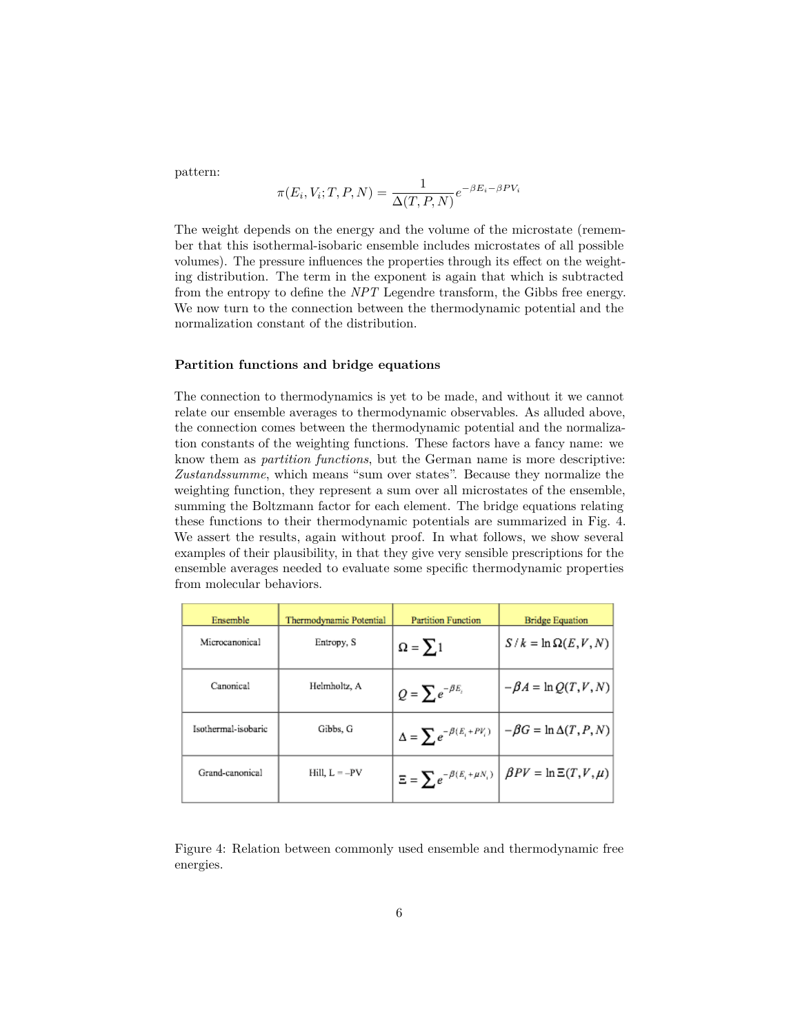pattern:

$$
\pi(E_i, V_i; T, P, N) = \frac{1}{\Delta(T, P, N)} e^{-\beta E_i - \beta P V_i}
$$

The weight depends on the energy and the volume of the microstate (remember that this isothermal-isobaric ensemble includes microstates of all possible volumes). The pressure influences the properties through its effect on the weighting distribution. The term in the exponent is again that which is subtracted from the entropy to define the *NPT* Legendre transform, the Gibbs free energy. We now turn to the connection between the thermodynamic potential and the normalization constant of the distribution.

# **Partition functions and bridge equations**

The connection to thermodynamics is yet to be made, and without it we cannot relate our ensemble averages to thermodynamic observables. As alluded above, the connection comes between the thermodynamic potential and the normalization constants of the weighting functions. These factors have a fancy name: we know them as *partition functions*, but the German name is more descriptive: *Zustandssumme*, which means "sum over states". Because they normalize the weighting function, they represent a sum over all microstates of the ensemble, summing the Boltzmann factor for each element. The bridge equations relating these functions to their thermodynamic potentials are summarized in Fig. [4.](#page-5-0) We assert the results, again without proof. In what follows, we show several examples of their plausibility, in that they give very sensible prescriptions for the ensemble averages needed to evaluate some specific thermodynamic properties from molecular behaviors.

| Ensemble            | Thermodynamic Potential | <b>Partition Function</b> | <b>Bridge Equation</b>                                                                                 |
|---------------------|-------------------------|---------------------------|--------------------------------------------------------------------------------------------------------|
| Microcanonical      | Entropy, S              | $\Omega = \sum 1$         | $S/k = \ln \Omega(E, V, N)$                                                                            |
| Canonical           | Helmholtz, A            | $Q = \sum e^{-\beta E_i}$ | $-\beta A = \ln Q(T, V, N)$                                                                            |
| Isothermal-isobaric | Gibbs, G                |                           | $\Delta = \sum e^{-\beta (E_i + P V_i)} \left[ \left. - \beta G = \ln \Delta(T, P, N) \right  \right.$ |
| Grand-canonical     | $Hill, L = -PV$         |                           | $\Xi = \sum e^{-\beta (E_i + \mu N_i)} \left  \ \beta P V = \ln \Xi(T,V,\mu) \right $                  |

<span id="page-5-0"></span>Figure 4: Relation between commonly used ensemble and thermodynamic free energies.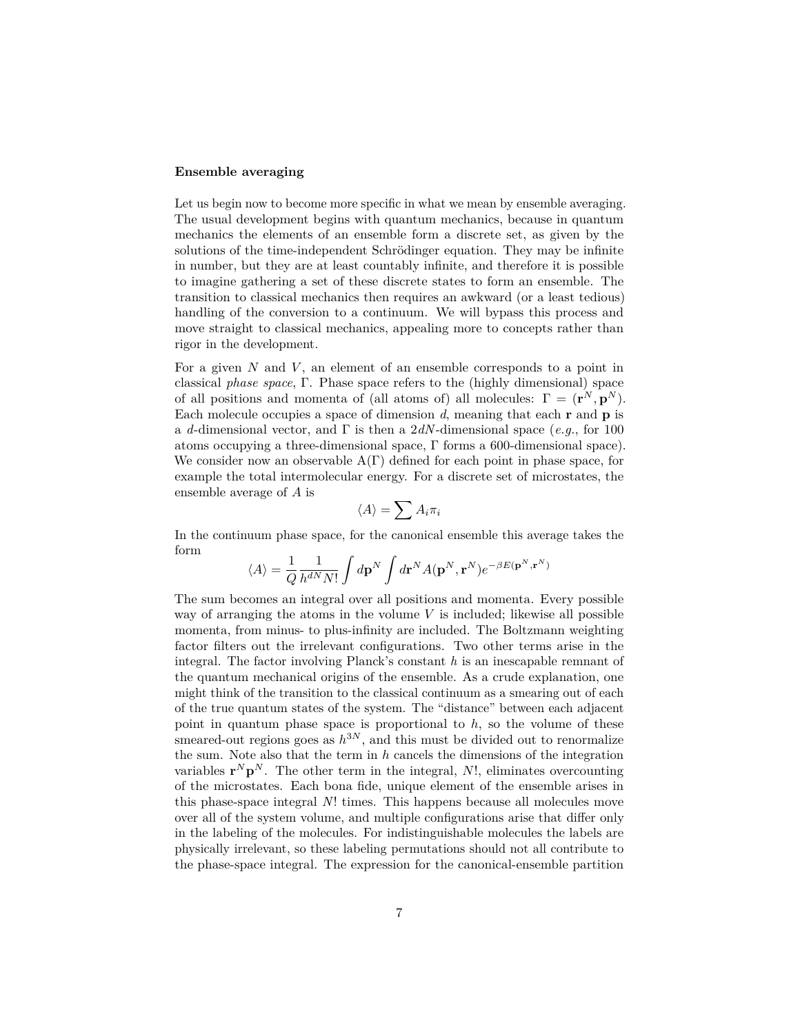# **Ensemble averaging**

Let us begin now to become more specific in what we mean by ensemble averaging. The usual development begins with quantum mechanics, because in quantum mechanics the elements of an ensemble form a discrete set, as given by the solutions of the time-independent Schrödinger equation. They may be infinite in number, but they are at least countably infinite, and therefore it is possible to imagine gathering a set of these discrete states to form an ensemble. The transition to classical mechanics then requires an awkward (or a least tedious) handling of the conversion to a continuum. We will bypass this process and move straight to classical mechanics, appealing more to concepts rather than rigor in the development.

For a given *N* and *V* , an element of an ensemble corresponds to a point in classical *phase space*, Γ. Phase space refers to the (highly dimensional) space of all positions and momenta of (all atoms of) all molecules:  $\Gamma = (\mathbf{r}^N, \mathbf{p}^N)$ . Each molecule occupies a space of dimension *d*, meaning that each **r** and **p** is a *d*-dimensional vector, and Γ is then a 2*dN*-dimensional space (*e.g.*, for 100 atoms occupying a three-dimensional space, Γ forms a 600-dimensional space). We consider now an observable  $A(\Gamma)$  defined for each point in phase space, for example the total intermolecular energy. For a discrete set of microstates, the ensemble average of *A* is

$$
\langle A \rangle = \sum A_i \pi_i
$$

In the continuum phase space, for the canonical ensemble this average takes the form

$$
\langle A \rangle = \frac{1}{Q} \frac{1}{h^{dN} N!} \int d\mathbf{p}^N \int d\mathbf{r}^N A(\mathbf{p}^N, \mathbf{r}^N) e^{-\beta E(\mathbf{p}^N, \mathbf{r}^N)}
$$

The sum becomes an integral over all positions and momenta. Every possible way of arranging the atoms in the volume  $V$  is included; likewise all possible momenta, from minus- to plus-infinity are included. The Boltzmann weighting factor filters out the irrelevant configurations. Two other terms arise in the integral. The factor involving Planck's constant *h* is an inescapable remnant of the quantum mechanical origins of the ensemble. As a crude explanation, one might think of the transition to the classical continuum as a smearing out of each of the true quantum states of the system. The "distance" between each adjacent point in quantum phase space is proportional to *h*, so the volume of these smeared-out regions goes as  $h^{3N}$ , and this must be divided out to renormalize the sum. Note also that the term in *h* cancels the dimensions of the integration variables  $\mathbf{r}^N \mathbf{p}^N$ . The other term in the integral, *N*!, eliminates overcounting of the microstates. Each bona fide, unique element of the ensemble arises in this phase-space integral *N*! times. This happens because all molecules move over all of the system volume, and multiple configurations arise that differ only in the labeling of the molecules. For indistinguishable molecules the labels are physically irrelevant, so these labeling permutations should not all contribute to the phase-space integral. The expression for the canonical-ensemble partition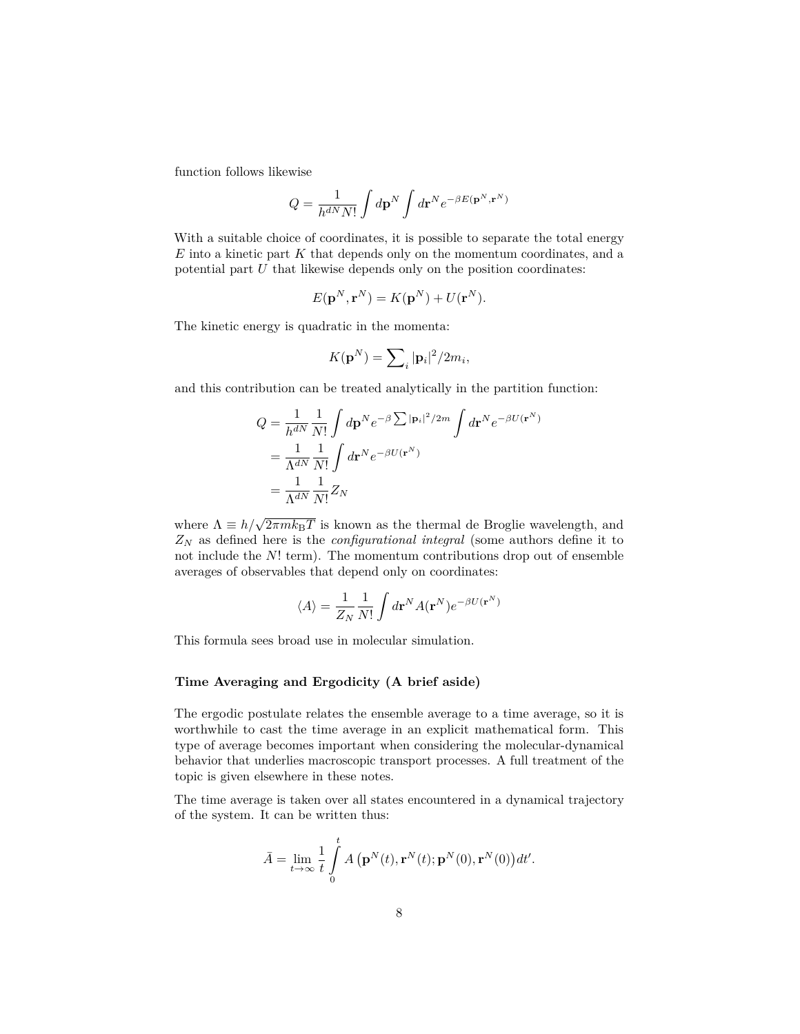function follows likewise

$$
Q=\frac{1}{h^{dN}N!}\int d\mathbf{p}^N\int d\mathbf{r}^Ne^{-\beta E(\mathbf{p}^N,\mathbf{r}^N)}
$$

With a suitable choice of coordinates, it is possible to separate the total energy *E* into a kinetic part *K* that depends only on the momentum coordinates, and a potential part *U* that likewise depends only on the position coordinates:

$$
E(\mathbf{p}^N, \mathbf{r}^N) = K(\mathbf{p}^N) + U(\mathbf{r}^N).
$$

The kinetic energy is quadratic in the momenta:

$$
K(\mathbf{p}^N) = \sum_i |\mathbf{p}_i|^2 / 2m_i,
$$

and this contribution can be treated analytically in the partition function:

$$
Q = \frac{1}{h^{dN}} \frac{1}{N!} \int d\mathbf{p}^N e^{-\beta \sum |\mathbf{p}_i|^2 / 2m} \int d\mathbf{r}^N e^{-\beta U(\mathbf{r}^N)}
$$
  
= 
$$
\frac{1}{\Lambda^{dN}} \frac{1}{N!} \int d\mathbf{r}^N e^{-\beta U(\mathbf{r}^N)}
$$
  
= 
$$
\frac{1}{\Lambda^{dN}} \frac{1}{N!} Z_N
$$

where  $\Lambda \equiv h/\sqrt{2\pi m k_{\rm B}T}$  is known as the thermal de Broglie wavelength, and *Z<sup>N</sup>* as defined here is the *configurational integral* (some authors define it to not include the *N*! term). The momentum contributions drop out of ensemble averages of observables that depend only on coordinates:

$$
\langle A \rangle = \frac{1}{Z_N} \frac{1}{N!} \int d\mathbf{r}^N A(\mathbf{r}^N) e^{-\beta U(\mathbf{r}^N)}
$$

This formula sees broad use in molecular simulation.

# **Time Averaging and Ergodicity (A brief aside)**

The ergodic postulate relates the ensemble average to a time average, so it is worthwhile to cast the time average in an explicit mathematical form. This type of average becomes important when considering the molecular-dynamical behavior that underlies macroscopic transport processes. A full treatment of the topic is given elsewhere in these notes.

The time average is taken over all states encountered in a dynamical trajectory of the system. It can be written thus:

$$
\bar{A} = \lim_{t \to \infty} \frac{1}{t} \int_{0}^{t} A\left(\mathbf{p}^{N}(t), \mathbf{r}^{N}(t); \mathbf{p}^{N}(0), \mathbf{r}^{N}(0)\right) dt'.
$$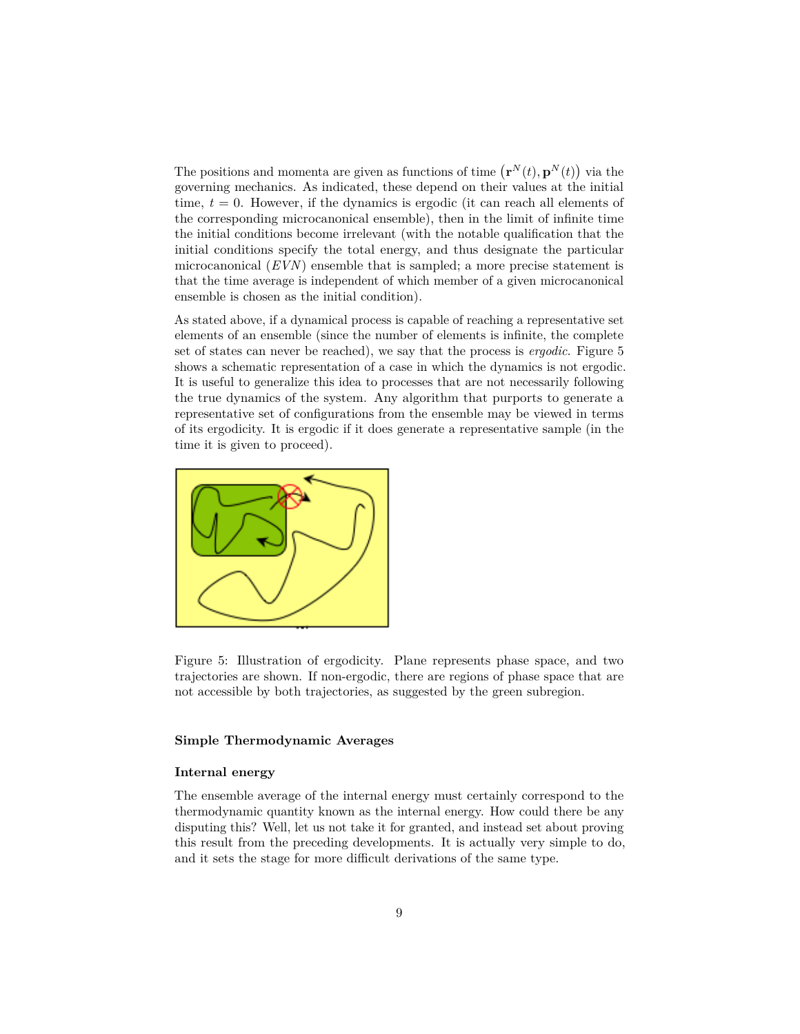The positions and momenta are given as functions of time  $(\mathbf{r}^N(t), \mathbf{p}^N(t))$  via the governing mechanics. As indicated, these depend on their values at the initial time,  $t = 0$ . However, if the dynamics is ergodic (it can reach all elements of the corresponding microcanonical ensemble), then in the limit of infinite time the initial conditions become irrelevant (with the notable qualification that the initial conditions specify the total energy, and thus designate the particular microcanonical (*EVN*) ensemble that is sampled; a more precise statement is that the time average is independent of which member of a given microcanonical ensemble is chosen as the initial condition).

As stated above, if a dynamical process is capable of reaching a representative set elements of an ensemble (since the number of elements is infinite, the complete set of states can never be reached), we say that the process is *ergodic*. Figure [5](#page-8-0) shows a schematic representation of a case in which the dynamics is not ergodic. It is useful to generalize this idea to processes that are not necessarily following the true dynamics of the system. Any algorithm that purports to generate a representative set of configurations from the ensemble may be viewed in terms of its ergodicity. It is ergodic if it does generate a representative sample (in the time it is given to proceed).



<span id="page-8-0"></span>Figure 5: Illustration of ergodicity. Plane represents phase space, and two trajectories are shown. If non-ergodic, there are regions of phase space that are not accessible by both trajectories, as suggested by the green subregion.

# **Simple Thermodynamic Averages**

## **Internal energy**

The ensemble average of the internal energy must certainly correspond to the thermodynamic quantity known as the internal energy. How could there be any disputing this? Well, let us not take it for granted, and instead set about proving this result from the preceding developments. It is actually very simple to do, and it sets the stage for more difficult derivations of the same type.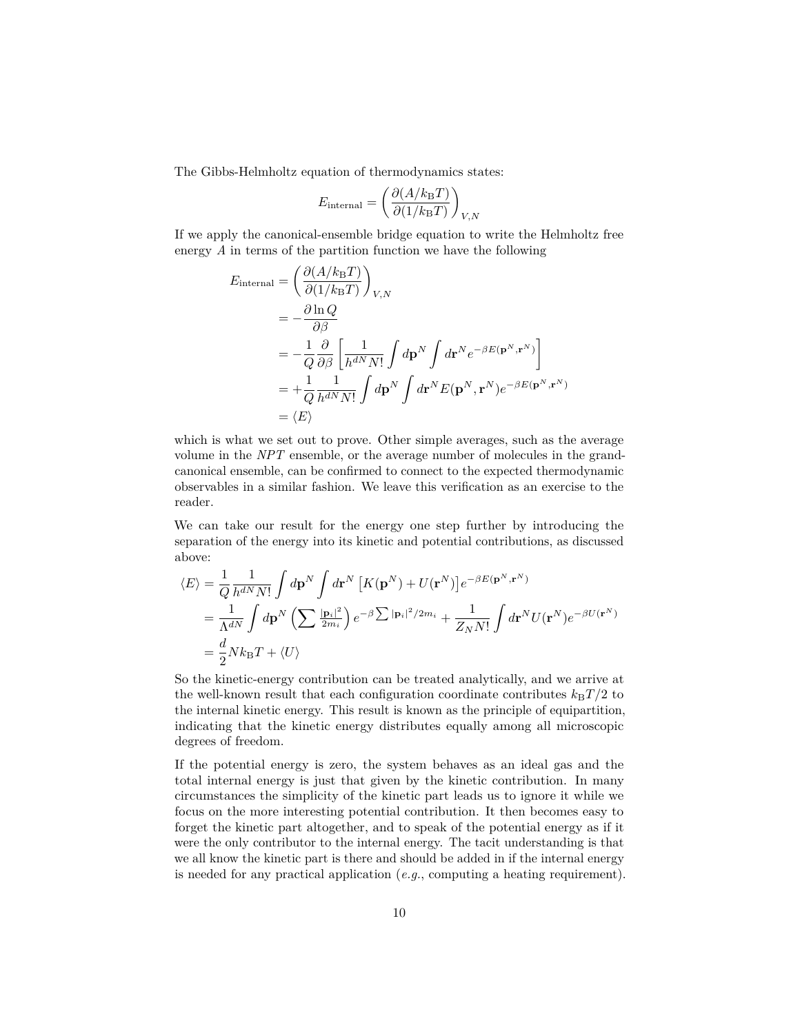The Gibbs-Helmholtz equation of thermodynamics states:

$$
E_{\text{internal}} = \left(\frac{\partial (A/k_{\text{B}}T)}{\partial (1/k_{\text{B}}T)}\right)_{V,N}
$$

If we apply the canonical-ensemble bridge equation to write the Helmholtz free energy *A* in terms of the partition function we have the following

$$
E_{\text{internal}} = \left(\frac{\partial (A/k_{\text{B}}T)}{\partial (1/k_{\text{B}}T)}\right)_{V,N}
$$
  
=  $-\frac{\partial \ln Q}{\partial \beta}$   
=  $-\frac{1}{Q}\frac{\partial}{\partial \beta}\left[\frac{1}{h^{dN}N!}\int d\mathbf{p}^{N}\int d\mathbf{r}^{N}e^{-\beta E(\mathbf{p}^{N},\mathbf{r}^{N})}\right]$   
=  $+\frac{1}{Q}\frac{1}{h^{dN}N!}\int d\mathbf{p}^{N}\int d\mathbf{r}^{N}E(\mathbf{p}^{N},\mathbf{r}^{N})e^{-\beta E(\mathbf{p}^{N},\mathbf{r}^{N})}$   
=  $\langle E \rangle$ 

which is what we set out to prove. Other simple averages, such as the average volume in the *NPT* ensemble, or the average number of molecules in the grandcanonical ensemble, can be confirmed to connect to the expected thermodynamic observables in a similar fashion. We leave this verification as an exercise to the reader.

We can take our result for the energy one step further by introducing the separation of the energy into its kinetic and potential contributions, as discussed above:

$$
\langle E \rangle = \frac{1}{Q} \frac{1}{h^{dN} N!} \int d\mathbf{p}^{N} \int d\mathbf{r}^{N} \left[ K(\mathbf{p}^{N}) + U(\mathbf{r}^{N}) \right] e^{-\beta E(\mathbf{p}^{N}, \mathbf{r}^{N})}
$$
  
\n
$$
= \frac{1}{\Lambda^{dN}} \int d\mathbf{p}^{N} \left( \sum \frac{|\mathbf{p}_{i}|^{2}}{2m_{i}} \right) e^{-\beta \sum |\mathbf{p}_{i}|^{2} / 2m_{i}} + \frac{1}{Z_{N} N!} \int d\mathbf{r}^{N} U(\mathbf{r}^{N}) e^{-\beta U(\mathbf{r}^{N})}
$$
  
\n
$$
= \frac{d}{2} N k_{\text{B}} T + \langle U \rangle
$$

So the kinetic-energy contribution can be treated analytically, and we arrive at the well-known result that each configuration coordinate contributes  $k_BT/2$  to the internal kinetic energy. This result is known as the principle of equipartition, indicating that the kinetic energy distributes equally among all microscopic degrees of freedom.

If the potential energy is zero, the system behaves as an ideal gas and the total internal energy is just that given by the kinetic contribution. In many circumstances the simplicity of the kinetic part leads us to ignore it while we focus on the more interesting potential contribution. It then becomes easy to forget the kinetic part altogether, and to speak of the potential energy as if it were the only contributor to the internal energy. The tacit understanding is that we all know the kinetic part is there and should be added in if the internal energy is needed for any practical application (*e.g.*, computing a heating requirement).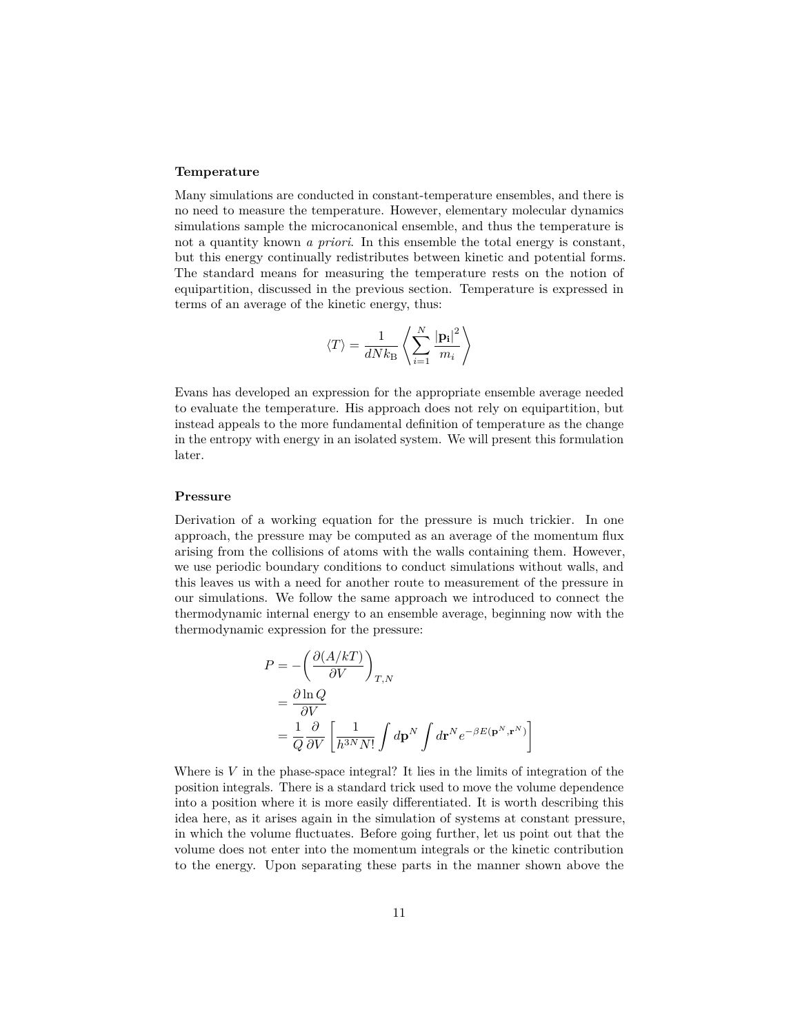# **Temperature**

Many simulations are conducted in constant-temperature ensembles, and there is no need to measure the temperature. However, elementary molecular dynamics simulations sample the microcanonical ensemble, and thus the temperature is not a quantity known *a priori*. In this ensemble the total energy is constant, but this energy continually redistributes between kinetic and potential forms. The standard means for measuring the temperature rests on the notion of equipartition, discussed in the previous section. Temperature is expressed in terms of an average of the kinetic energy, thus:

$$
\left\langle T \right\rangle = \frac{1}{dNk_{\rm B}}\left\langle \sum_{i=1}^{N}\frac{\left|\mathbf{p_{i}}\right|^{2}}{m_{i}}\right\rangle
$$

Evans has developed an expression for the appropriate ensemble average needed to evaluate the temperature. His approach does not rely on equipartition, but instead appeals to the more fundamental definition of temperature as the change in the entropy with energy in an isolated system. We will present this formulation later.

### **Pressure**

Derivation of a working equation for the pressure is much trickier. In one approach, the pressure may be computed as an average of the momentum flux arising from the collisions of atoms with the walls containing them. However, we use periodic boundary conditions to conduct simulations without walls, and this leaves us with a need for another route to measurement of the pressure in our simulations. We follow the same approach we introduced to connect the thermodynamic internal energy to an ensemble average, beginning now with the thermodynamic expression for the pressure:

$$
P = -\left(\frac{\partial (A/kT)}{\partial V}\right)_{T,N}
$$
  
=  $\frac{\partial \ln Q}{\partial V}$   
=  $\frac{1}{Q} \frac{\partial}{\partial V} \left[ \frac{1}{h^{3N} N!} \int d\mathbf{p}^{N} \int d\mathbf{r}^{N} e^{-\beta E(\mathbf{p}^{N}, \mathbf{r}^{N})} \right]$ 

Where is *V* in the phase-space integral? It lies in the limits of integration of the position integrals. There is a standard trick used to move the volume dependence into a position where it is more easily differentiated. It is worth describing this idea here, as it arises again in the simulation of systems at constant pressure, in which the volume fluctuates. Before going further, let us point out that the volume does not enter into the momentum integrals or the kinetic contribution to the energy. Upon separating these parts in the manner shown above the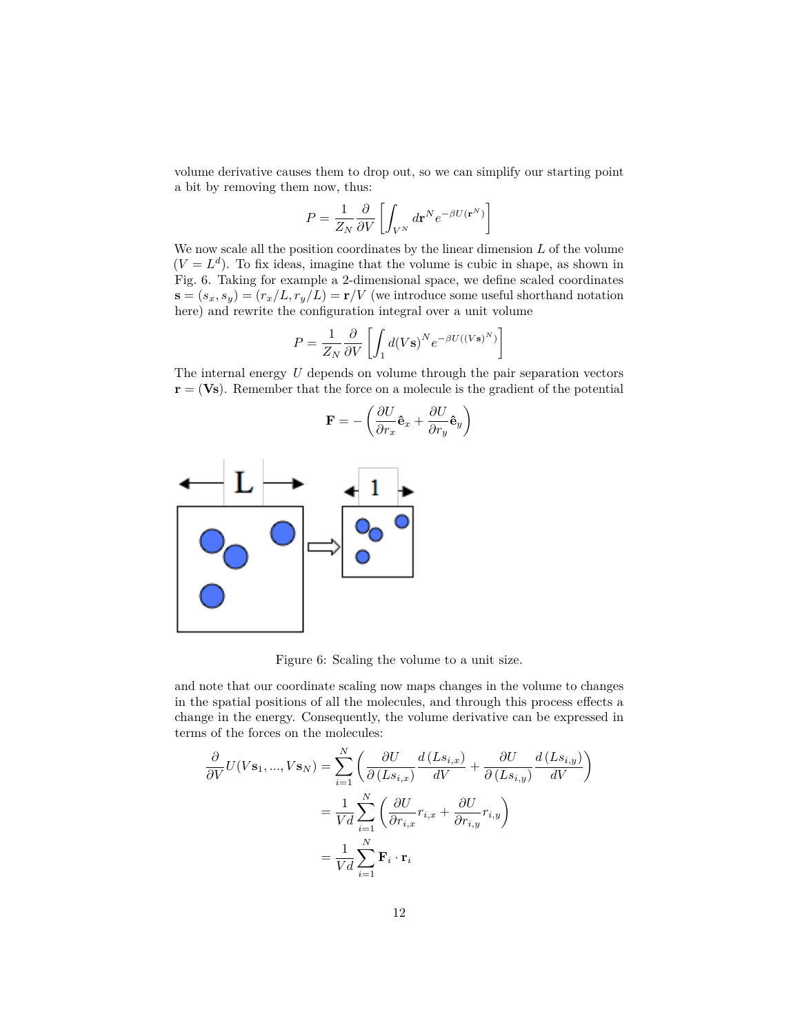volume derivative causes them to drop out, so we can simplify our starting point a bit by removing them now, thus:

$$
P = \frac{1}{Z_N} \frac{\partial}{\partial V} \left[ \int_{V^N} d\mathbf{r}^N e^{-\beta U(\mathbf{r}^N)} \right]
$$

We now scale all the position coordinates by the linear dimension *L* of the volume  $(V = L^d)$ . To fix ideas, imagine that the volume is cubic in shape, as shown in Fig. [6.](#page-11-0) Taking for example a 2-dimensional space, we define scaled coordinates  $\mathbf{s} = (s_x, s_y) = (r_x/L, r_y/L) = \mathbf{r}/V$  (we introduce some useful shorthand notation here) and rewrite the configuration integral over a unit volume

$$
P = \frac{1}{Z_N} \frac{\partial}{\partial V} \left[ \int_1 d(Vs)^N e^{-\beta U((Vs)^N)} \right]
$$

The internal energy *U* depends on volume through the pair separation vectors **r** = (**Vs**). Remember that the force on a molecule is the gradient of the potential

$$
\mathbf{F} = -\left(\frac{\partial U}{\partial r_x}\mathbf{\hat{e}}_x + \frac{\partial U}{\partial r_y}\mathbf{\hat{e}}_y\right)
$$



<span id="page-11-0"></span>Figure 6: Scaling the volume to a unit size.

and note that our coordinate scaling now maps changes in the volume to changes in the spatial positions of all the molecules, and through this process effects a change in the energy. Consequently, the volume derivative can be expressed in terms of the forces on the molecules:

$$
\frac{\partial}{\partial V}U(V\mathbf{s}_{1},...,V\mathbf{s}_{N}) = \sum_{i=1}^{N} \left( \frac{\partial U}{\partial (Ls_{i,x})} \frac{d(Ls_{i,x})}{dV} + \frac{\partial U}{\partial (Ls_{i,y})} \frac{d(Ls_{i,y})}{dV} \right)
$$

$$
= \frac{1}{Vd} \sum_{i=1}^{N} \left( \frac{\partial U}{\partial r_{i,x}} r_{i,x} + \frac{\partial U}{\partial r_{i,y}} r_{i,y} \right)
$$

$$
= \frac{1}{Vd} \sum_{i=1}^{N} \mathbf{F}_{i} \cdot \mathbf{r}_{i}
$$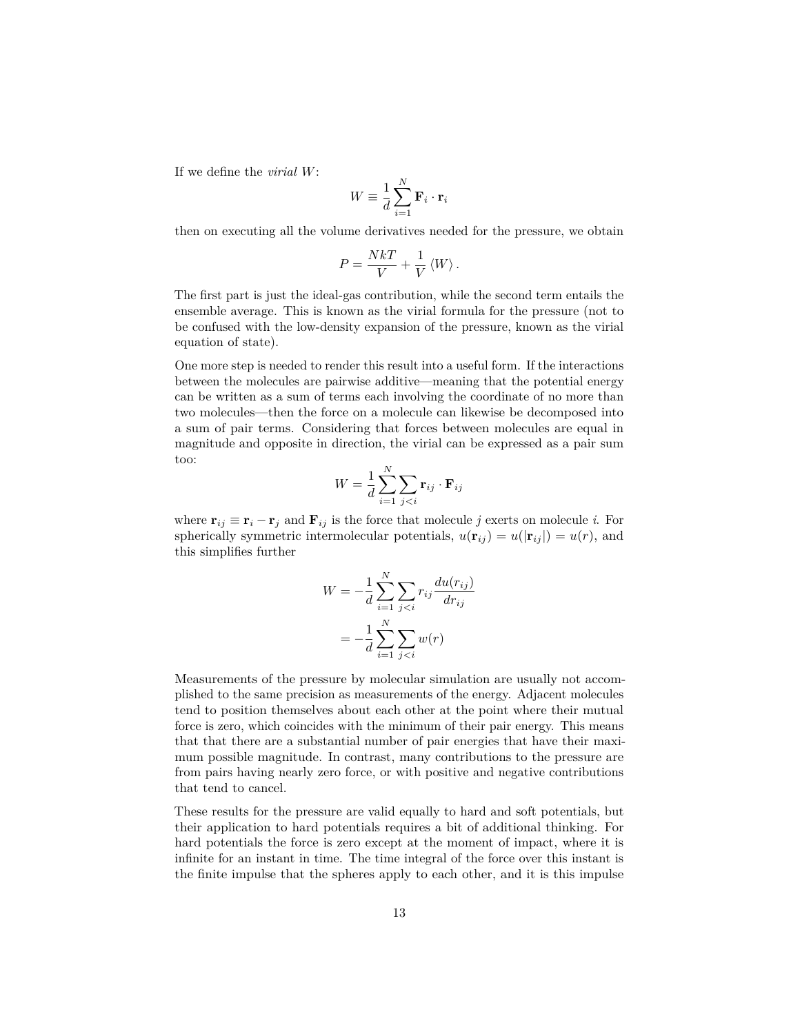If we define the *virial W*:

$$
W \equiv \frac{1}{d} \sum_{i=1}^{N} \mathbf{F}_i \cdot \mathbf{r}_i
$$

then on executing all the volume derivatives needed for the pressure, we obtain

$$
P = \frac{NkT}{V} + \frac{1}{V} \langle W \rangle.
$$

The first part is just the ideal-gas contribution, while the second term entails the ensemble average. This is known as the virial formula for the pressure (not to be confused with the low-density expansion of the pressure, known as the virial equation of state).

One more step is needed to render this result into a useful form. If the interactions between the molecules are pairwise additive—meaning that the potential energy can be written as a sum of terms each involving the coordinate of no more than two molecules—then the force on a molecule can likewise be decomposed into a sum of pair terms. Considering that forces between molecules are equal in magnitude and opposite in direction, the virial can be expressed as a pair sum too:

$$
W = \frac{1}{d} \sum_{i=1}^{N} \sum_{j < i} \mathbf{r}_{ij} \cdot \mathbf{F}_{ij}
$$

where  $\mathbf{r}_{ij} \equiv \mathbf{r}_i - \mathbf{r}_j$  and  $\mathbf{F}_{ij}$  is the force that molecule *j* exerts on molecule *i*. For spherically symmetric intermolecular potentials,  $u(\mathbf{r}_{ij}) = u(|\mathbf{r}_{ij}|) = u(r)$ , and this simplifies further

$$
W = -\frac{1}{d} \sum_{i=1}^{N} \sum_{j < i} r_{ij} \frac{du(r_{ij})}{dr_{ij}}
$$
\n
$$
= -\frac{1}{d} \sum_{i=1}^{N} \sum_{j < i} w(r)
$$

Measurements of the pressure by molecular simulation are usually not accomplished to the same precision as measurements of the energy. Adjacent molecules tend to position themselves about each other at the point where their mutual force is zero, which coincides with the minimum of their pair energy. This means that that there are a substantial number of pair energies that have their maximum possible magnitude. In contrast, many contributions to the pressure are from pairs having nearly zero force, or with positive and negative contributions that tend to cancel.

These results for the pressure are valid equally to hard and soft potentials, but their application to hard potentials requires a bit of additional thinking. For hard potentials the force is zero except at the moment of impact, where it is infinite for an instant in time. The time integral of the force over this instant is the finite impulse that the spheres apply to each other, and it is this impulse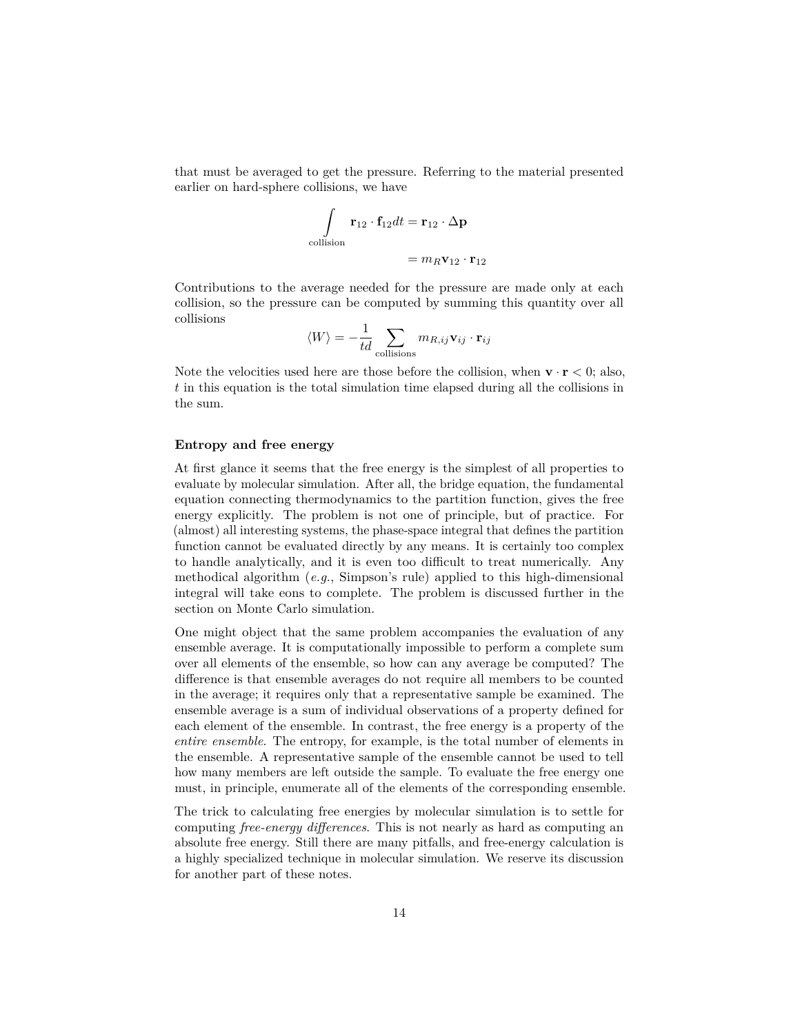that must be averaged to get the pressure. Referring to the material presented earlier on hard-sphere collisions, we have

$$
\int_{\text{collision}} \mathbf{r}_{12} \cdot \mathbf{f}_{12} dt = \mathbf{r}_{12} \cdot \Delta \mathbf{p}
$$

$$
= m_R \mathbf{v}_{12} \cdot \mathbf{r}_{12}
$$

Contributions to the average needed for the pressure are made only at each collision, so the pressure can be computed by summing this quantity over all collisions

$$
\langle W \rangle = -\frac{1}{td} \sum_{\text{collisions}} m_{R,ij} \mathbf{v}_{ij} \cdot \mathbf{r}_{ij}
$$

Note the velocities used here are those before the collision, when  $\mathbf{v} \cdot \mathbf{r} < 0$ ; also, *t* in this equation is the total simulation time elapsed during all the collisions in the sum.

# **Entropy and free energy**

At first glance it seems that the free energy is the simplest of all properties to evaluate by molecular simulation. After all, the bridge equation, the fundamental equation connecting thermodynamics to the partition function, gives the free energy explicitly. The problem is not one of principle, but of practice. For (almost) all interesting systems, the phase-space integral that defines the partition function cannot be evaluated directly by any means. It is certainly too complex to handle analytically, and it is even too difficult to treat numerically. Any methodical algorithm (*e.g.*, Simpson's rule) applied to this high-dimensional integral will take eons to complete. The problem is discussed further in the section on Monte Carlo simulation.

One might object that the same problem accompanies the evaluation of any ensemble average. It is computationally impossible to perform a complete sum over all elements of the ensemble, so how can any average be computed? The difference is that ensemble averages do not require all members to be counted in the average; it requires only that a representative sample be examined. The ensemble average is a sum of individual observations of a property defined for each element of the ensemble. In contrast, the free energy is a property of the *entire ensemble*. The entropy, for example, is the total number of elements in the ensemble. A representative sample of the ensemble cannot be used to tell how many members are left outside the sample. To evaluate the free energy one must, in principle, enumerate all of the elements of the corresponding ensemble.

The trick to calculating free energies by molecular simulation is to settle for computing *free-energy differences*. This is not nearly as hard as computing an absolute free energy. Still there are many pitfalls, and free-energy calculation is a highly specialized technique in molecular simulation. We reserve its discussion for another part of these notes.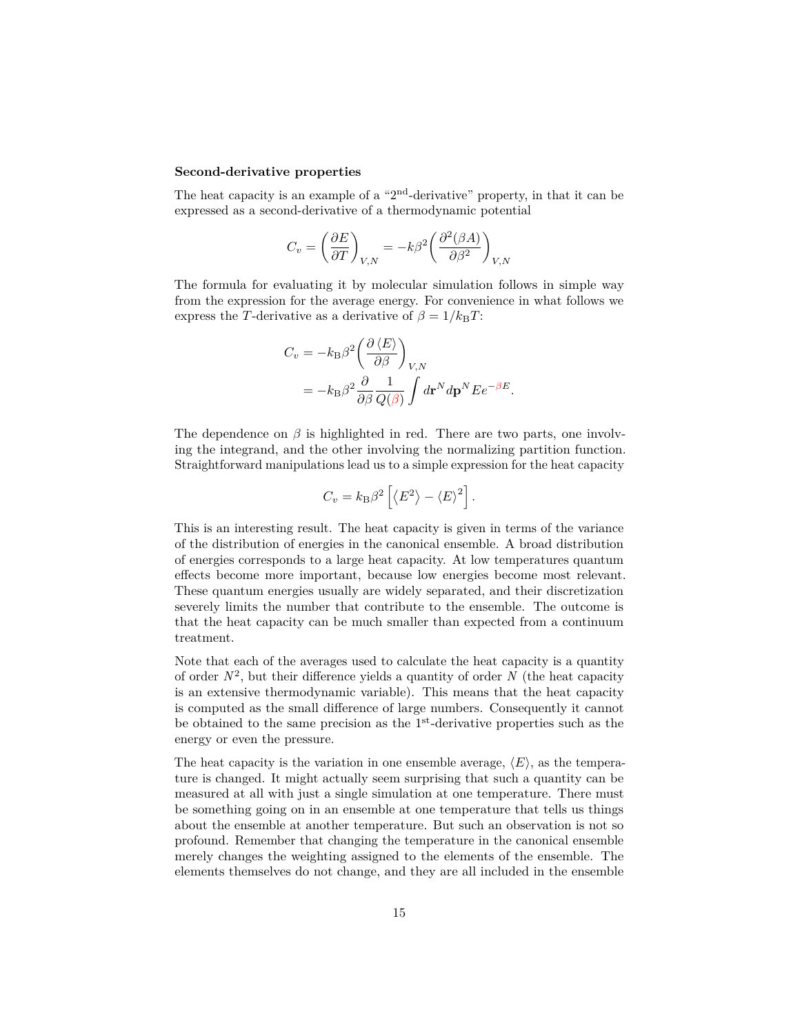#### **Second-derivative properties**

The heat capacity is an example of a "2nd-derivative" property, in that it can be expressed as a second-derivative of a thermodynamic potential

$$
C_v = \left(\frac{\partial E}{\partial T}\right)_{V,N} = -k\beta^2 \left(\frac{\partial^2 (\beta A)}{\partial \beta^2}\right)_{V,N}
$$

The formula for evaluating it by molecular simulation follows in simple way from the expression for the average energy. For convenience in what follows we express the *T*-derivative as a derivative of  $\beta = 1/k_B T$ :

$$
C_v = -k_{\rm B}\beta^2 \left(\frac{\partial \langle E \rangle}{\partial \beta}\right)_{V,N}
$$
  
=  $-k_{\rm B}\beta^2 \frac{\partial}{\partial \beta} \frac{1}{Q(\beta)} \int d\mathbf{r}^N d\mathbf{p}^N E e^{-\beta E}.$ 

The dependence on  $\beta$  is highlighted in red. There are two parts, one involving the integrand, and the other involving the normalizing partition function. Straightforward manipulations lead us to a simple expression for the heat capacity

$$
C_v = k_{\rm B}\beta^2 \left[ \langle E^2 \rangle - \langle E \rangle^2 \right].
$$

This is an interesting result. The heat capacity is given in terms of the variance of the distribution of energies in the canonical ensemble. A broad distribution of energies corresponds to a large heat capacity. At low temperatures quantum effects become more important, because low energies become most relevant. These quantum energies usually are widely separated, and their discretization severely limits the number that contribute to the ensemble. The outcome is that the heat capacity can be much smaller than expected from a continuum treatment.

Note that each of the averages used to calculate the heat capacity is a quantity of order  $N^2$ , but their difference yields a quantity of order  $N$  (the heat capacity is an extensive thermodynamic variable). This means that the heat capacity is computed as the small difference of large numbers. Consequently it cannot be obtained to the same precision as the  $1<sup>st</sup>$ -derivative properties such as the energy or even the pressure.

The heat capacity is the variation in one ensemble average,  $\langle E \rangle$ , as the temperature is changed. It might actually seem surprising that such a quantity can be measured at all with just a single simulation at one temperature. There must be something going on in an ensemble at one temperature that tells us things about the ensemble at another temperature. But such an observation is not so profound. Remember that changing the temperature in the canonical ensemble merely changes the weighting assigned to the elements of the ensemble. The elements themselves do not change, and they are all included in the ensemble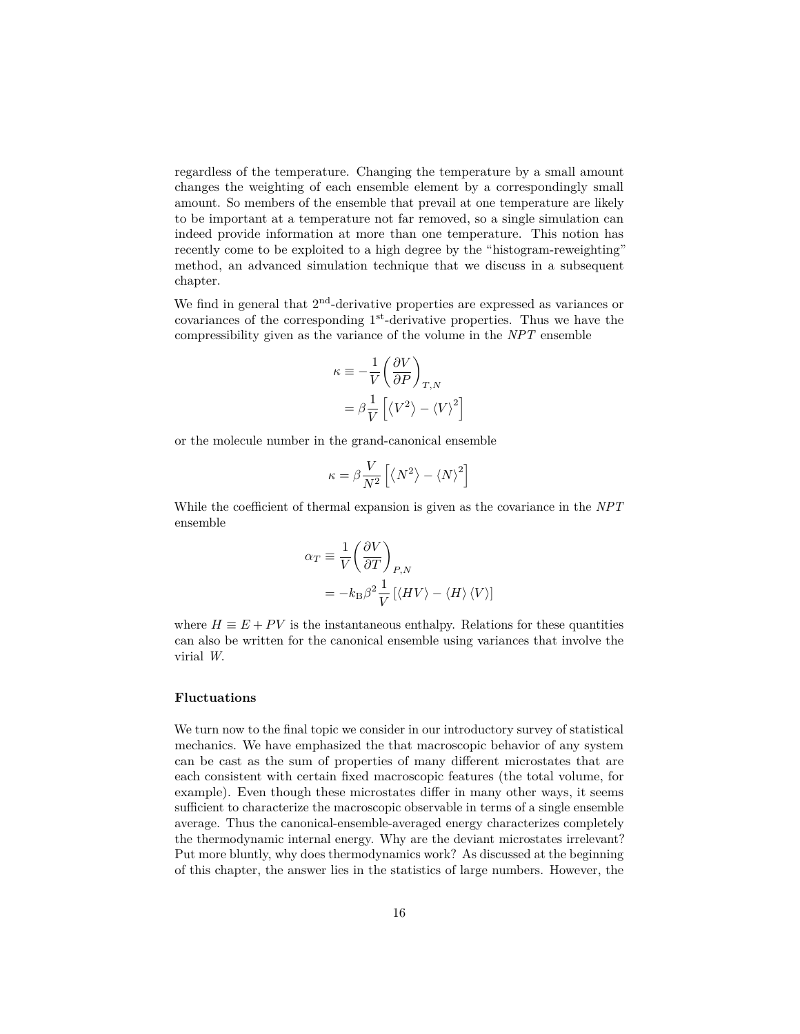regardless of the temperature. Changing the temperature by a small amount changes the weighting of each ensemble element by a correspondingly small amount. So members of the ensemble that prevail at one temperature are likely to be important at a temperature not far removed, so a single simulation can indeed provide information at more than one temperature. This notion has recently come to be exploited to a high degree by the "histogram-reweighting" method, an advanced simulation technique that we discuss in a subsequent chapter.

We find in general that  $2<sup>nd</sup>$ -derivative properties are expressed as variances or covariances of the corresponding 1st-derivative properties. Thus we have the compressibility given as the variance of the volume in the *NPT* ensemble

$$
\kappa \equiv -\frac{1}{V} \left( \frac{\partial V}{\partial P} \right)_{T,N}
$$

$$
= \beta \frac{1}{V} \left[ \langle V^2 \rangle - \langle V \rangle^2 \right]
$$

or the molecule number in the grand-canonical ensemble

$$
\kappa = \beta \frac{V}{N^2} \left[ \left\langle N^2 \right\rangle - \left\langle N \right\rangle^2 \right]
$$

While the coefficient of thermal expansion is given as the covariance in the *NPT* ensemble

$$
\alpha_T \equiv \frac{1}{V} \left( \frac{\partial V}{\partial T} \right)_{P,N}
$$
  
=  $-k_\text{B} \beta^2 \frac{1}{V} \left[ \langle HV \rangle - \langle H \rangle \langle V \rangle \right]$ 

where  $H \equiv E + PV$  is the instantaneous enthalpy. Relations for these quantities can also be written for the canonical ensemble using variances that involve the virial *W*.

# **Fluctuations**

We turn now to the final topic we consider in our introductory survey of statistical mechanics. We have emphasized the that macroscopic behavior of any system can be cast as the sum of properties of many different microstates that are each consistent with certain fixed macroscopic features (the total volume, for example). Even though these microstates differ in many other ways, it seems sufficient to characterize the macroscopic observable in terms of a single ensemble average. Thus the canonical-ensemble-averaged energy characterizes completely the thermodynamic internal energy. Why are the deviant microstates irrelevant? Put more bluntly, why does thermodynamics work? As discussed at the beginning of this chapter, the answer lies in the statistics of large numbers. However, the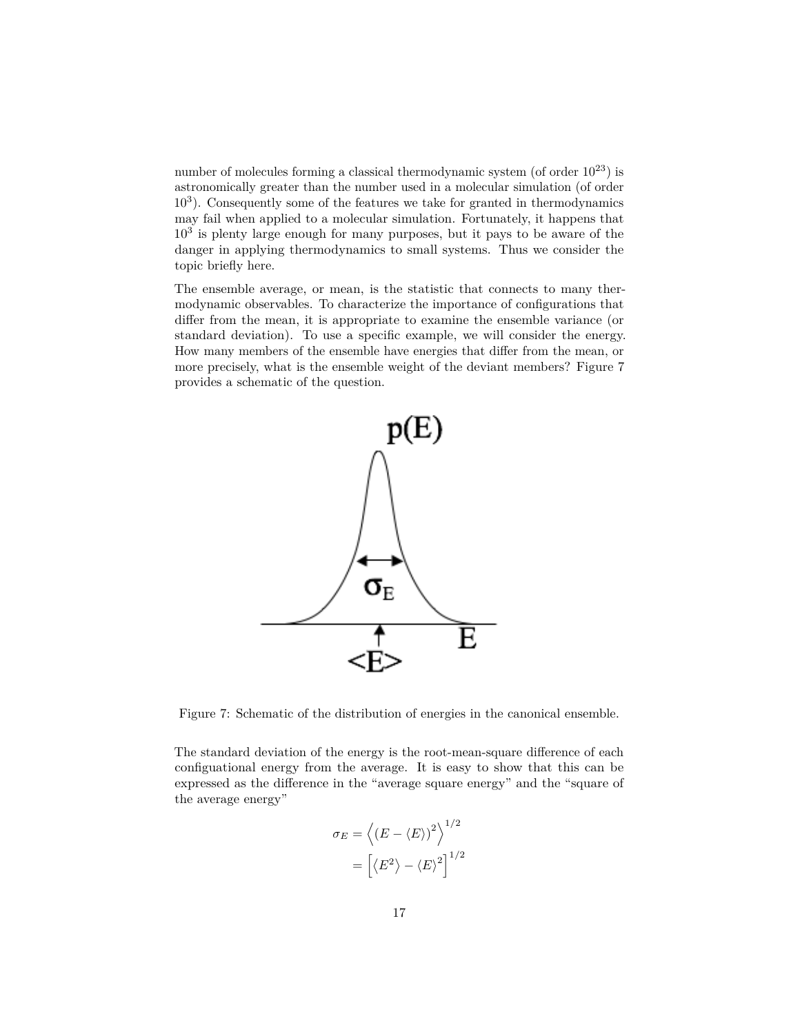number of molecules forming a classical thermodynamic system (of order  $10^{23}$ ) is astronomically greater than the number used in a molecular simulation (of order 10<sup>3</sup> ). Consequently some of the features we take for granted in thermodynamics may fail when applied to a molecular simulation. Fortunately, it happens that  $10<sup>3</sup>$  is plenty large enough for many purposes, but it pays to be aware of the danger in applying thermodynamics to small systems. Thus we consider the topic briefly here.

The ensemble average, or mean, is the statistic that connects to many thermodynamic observables. To characterize the importance of configurations that differ from the mean, it is appropriate to examine the ensemble variance (or standard deviation). To use a specific example, we will consider the energy. How many members of the ensemble have energies that differ from the mean, or more precisely, what is the ensemble weight of the deviant members? Figure [7](#page-16-0) provides a schematic of the question.



<span id="page-16-0"></span>Figure 7: Schematic of the distribution of energies in the canonical ensemble.

The standard deviation of the energy is the root-mean-square difference of each configuational energy from the average. It is easy to show that this can be expressed as the difference in the "average square energy" and the "square of the average energy"

$$
\sigma_E = \left\langle (E - \langle E \rangle)^2 \right\rangle^{1/2}
$$

$$
= \left[ \langle E^2 \rangle - \langle E \rangle^2 \right]^{1/2}
$$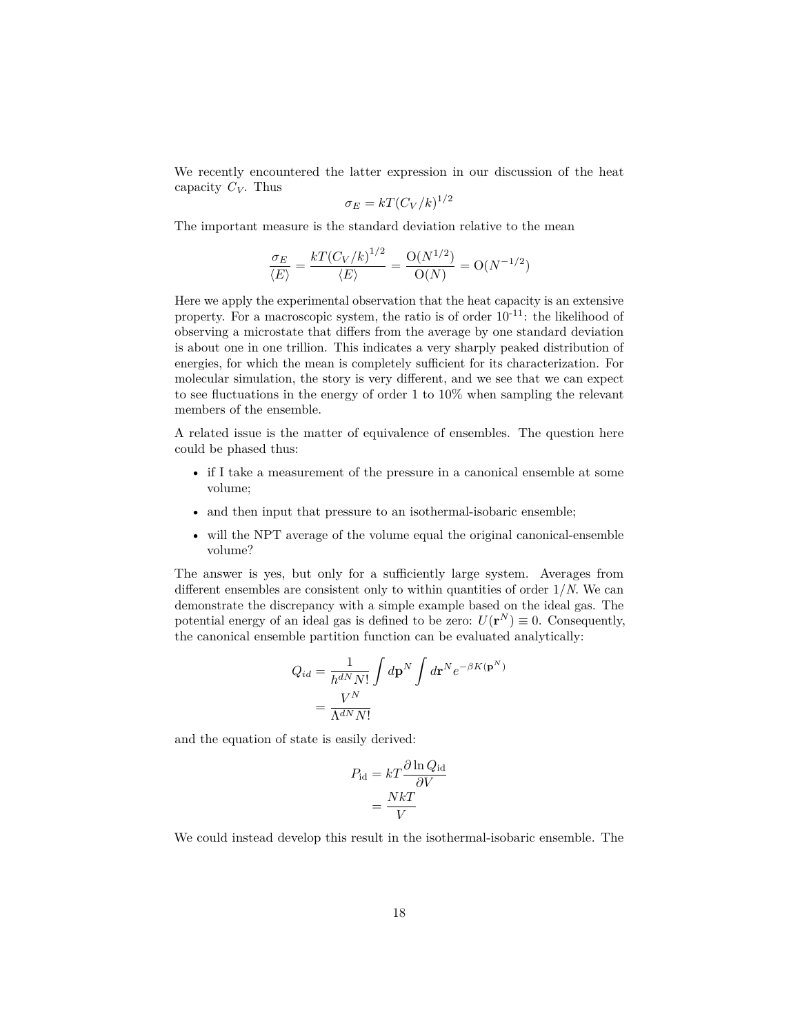We recently encountered the latter expression in our discussion of the heat capacity *CV*. Thus

$$
\sigma_E = kT (C_V/k)^{1/2}
$$

The important measure is the standard deviation relative to the mean

$$
\frac{\sigma_E}{\langle E \rangle} = \frac{kT(C_V/k)^{1/2}}{\langle E \rangle} = \frac{O(N^{1/2})}{O(N)} = O(N^{-1/2})
$$

Here we apply the experimental observation that the heat capacity is an extensive property. For a macroscopic system, the ratio is of order  $10^{-11}$ : the likelihood of observing a microstate that differs from the average by one standard deviation is about one in one trillion. This indicates a very sharply peaked distribution of energies, for which the mean is completely sufficient for its characterization. For molecular simulation, the story is very different, and we see that we can expect to see fluctuations in the energy of order 1 to 10% when sampling the relevant members of the ensemble.

A related issue is the matter of equivalence of ensembles. The question here could be phased thus:

- if I take a measurement of the pressure in a canonical ensemble at some volume;
- and then input that pressure to an isothermal-isobaric ensemble;
- will the NPT average of the volume equal the original canonical-ensemble volume?

The answer is yes, but only for a sufficiently large system. Averages from different ensembles are consistent only to within quantities of order 1/*N*. We can demonstrate the discrepancy with a simple example based on the ideal gas. The potential energy of an ideal gas is defined to be zero:  $U(\mathbf{r}^N) \equiv 0$ . Consequently, the canonical ensemble partition function can be evaluated analytically:

$$
Q_{id} = \frac{1}{h^{dN} N!} \int d\mathbf{p}^{N} \int d\mathbf{r}^{N} e^{-\beta K(\mathbf{p}^{N})}
$$

$$
= \frac{V^{N}}{\Lambda^{dN} N!}
$$

and the equation of state is easily derived:

$$
P_{\rm id} = kT \frac{\partial \ln Q_{\rm id}}{\partial V}
$$

$$
= \frac{NkT}{V}
$$

We could instead develop this result in the isothermal-isobaric ensemble. The